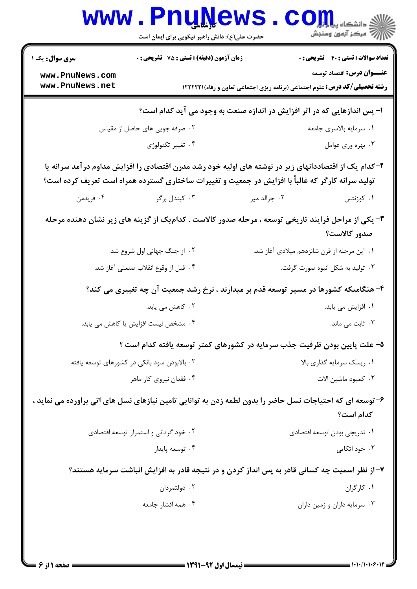|                                      | www.PnuNews                                                                                                                                                                                                 |                                                                                            | ران دانشگاه پیاورا<br>۱۳ - مرکز آزمون وسنجش  |
|--------------------------------------|-------------------------------------------------------------------------------------------------------------------------------------------------------------------------------------------------------------|--------------------------------------------------------------------------------------------|----------------------------------------------|
|                                      | حضرت علی(ع): دانش راهبر نیکویی برای ایمان است                                                                                                                                                               |                                                                                            |                                              |
| <b>سری سوال :</b> یک ۱               | <b>زمان آزمون (دقیقه) : تستی : 75 تشریحی : 0</b>                                                                                                                                                            |                                                                                            | <b>تعداد سوالات : تستي : 40 ٪ تشريحي : 0</b> |
| www.PnuNews.com<br>www.PnuNews.net   |                                                                                                                                                                                                             | <b>رشته تحصیلی/کد درس:</b> علوم اجتماعی (برنامه ریزی اجتماعی تعاون و رفاه) <b>۱۲۲۲۲۱</b> ۱ | <b>عنـــوان درس:</b> اقتصاد توسعه            |
|                                      | ا- پس اندازهایی که در اثر افزایش در اندازه صنعت به وجود می آید کدام است؟                                                                                                                                    |                                                                                            |                                              |
|                                      | ۰۲ صرفه جویی های حاصل از مقیاس                                                                                                                                                                              |                                                                                            | ٠١ سرمايه بالاسرى جامعه                      |
|                                      | ۰۴ تغيير تكنولوژي                                                                                                                                                                                           |                                                                                            | ۰۳ بهره وري عوامل                            |
|                                      | ۲– کدام یک از اقتصاددانهای زیر در نوشته های اولیه خود رشد مدرن اقتصادی را افزایش مداوم در آمد سرانه یا<br>تولید سرانه کارگر که غالباً با افزایش در جمعیت و تغییرات ساختاری گسترده همراه است تعریف کرده است؟ |                                                                                            |                                              |
| ۰۴ فريدمن                            | ۰۳ کیندل برگر                                                                                                                                                                                               | ۰۲ جرالد میر                                                                               | ۰۱ کوزنتس                                    |
|                                      | ۳- یکی از مراحل فرایند تاریخی توسعه ، مرحله صدور کالاست . کدامیک از گزینه های زیر نشان دهنده مرحله                                                                                                          |                                                                                            | صدور كالاست؟                                 |
| ٢. از جنگ جهانی اول شروع شد.         |                                                                                                                                                                                                             | ۰۱ این مرحله از قرن شانزدهم میلادی آغاز شد.                                                |                                              |
| ۰۴ قبل از وقوع انقلاب صنعتي آغاز شد. |                                                                                                                                                                                                             | ۰۳ تولید به شکل انبوه صورت گرفت.                                                           |                                              |
|                                      | ۴- هنگامیکه کشورها در مسیر توسعه قدم بر میدارند ، نرخ رشد جمعیت آن چه تغییری می کند؟                                                                                                                        |                                                                                            |                                              |
|                                      | ۰۲ کاهش می یابد.                                                                                                                                                                                            |                                                                                            | ۰۱ افزایش می یابد.                           |
|                                      | ۰۴ مشخص نیست افزایش یا کاهش می یابد.                                                                                                                                                                        | ۰۳ ثابت می ماند.                                                                           |                                              |
|                                      | ۵– علت پایین بودن ظرفیت جذب سرمایه در کشورهای کمتر توسعه یافته کدام است ؟                                                                                                                                   |                                                                                            |                                              |
|                                      | ۰۲ بالابودن سود بانکی در کشورهای توسعه یافته                                                                                                                                                                |                                                                                            | ۰۱ ریسک سرمایه گذاری بالا                    |
|                                      | ۰۴ فقدان نیروی کار ماهر                                                                                                                                                                                     | ۰۳ كمبود ماشين الات                                                                        |                                              |
|                                      | ۶– توسعه ای که احتیاجات نسل حاضر را بدون لطمه زدن به توانایی تامین نیازهای نسل های اتی براورده می نماید ،                                                                                                   |                                                                                            | كدام است؟                                    |
|                                      | ۰۲ خود گردانی و استمرار توسعه اقتصادی                                                                                                                                                                       |                                                                                            | ۰۱ تدریجی بودن توسعه اقتصادی                 |
|                                      | ۰۴ توسعه پايدار                                                                                                                                                                                             |                                                                                            | ۰۳ خود اتکایی                                |
|                                      | ۷- از نظر اسمیت چه کسانی قادر به پس انداز کردن و در نتیجه قادر به افزایش انباشت سرمایه هستند؟                                                                                                               |                                                                                            |                                              |
|                                      | ۰۲ دولتمردان                                                                                                                                                                                                |                                                                                            | ۰۱ کارگران                                   |
|                                      | ۰۴ همه اقشار جامعه                                                                                                                                                                                          |                                                                                            | ۰۳ سرمایه داران و زمین داران                 |
|                                      |                                                                                                                                                                                                             |                                                                                            |                                              |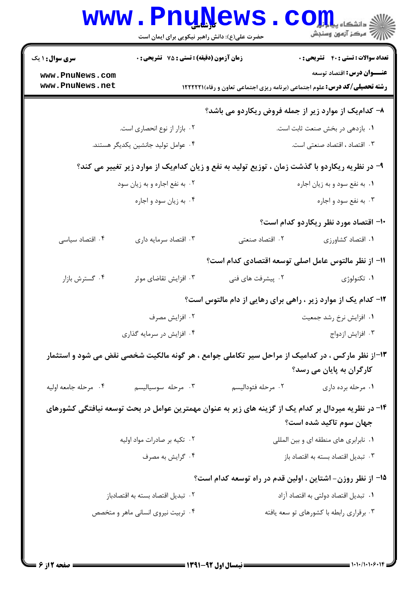|                                    | www.PnuNews<br>حضرت علی(ع): دانش راهبر نیکویی برای ایمان است                                        |                    | ري دانشڪاه پي <mark>ا ۽ ٿو.</mark><br>اڳ مرڪز آزمون وسنڊش                                                              |
|------------------------------------|-----------------------------------------------------------------------------------------------------|--------------------|------------------------------------------------------------------------------------------------------------------------|
| <b>سری سوال : ۱ یک</b>             | <b>زمان آزمون (دقیقه) : تستی : 75 تشریحی : 0</b>                                                    |                    | <b>تعداد سوالات : تستی : 40 - تشریحی : .</b>                                                                           |
| www.PnuNews.com<br>www.PnuNews.net |                                                                                                     |                    | <b>عنـــوان درس:</b> اقتصاد توسعه<br><b>رشته تحصیلی/کد درس:</b> علوم اجتماعی (برنامه ریزی اجتماعی تعاون و رفاه)(۱۲۲۲۲۱ |
|                                    |                                                                                                     |                    | ۸– کدام یک از موارد زیر از جمله فروض ریکاردو می باشد؟                                                                  |
|                                    | ٠٢ بازار از نوع انحصارى است.                                                                        |                    | ٠١. بازدهي در بخش صنعت ثابت است.                                                                                       |
|                                    | ۰۴ عوامل تولید جانشین یکدیگر هستند.                                                                 |                    | ۰۳ اقتصاد ، اقتصاد صنعتی است.                                                                                          |
|                                    | ۹- در نظریه ریکاردو با گذشت زمان ، توزیع تولید به نفع و زیان کدامیک از موارد زیر تغییر می کند؟      |                    |                                                                                                                        |
|                                    | ۰۲ به نفع اجاره و به زیان سود                                                                       |                    | ٠١. به نفع سود و به زيان اجاره                                                                                         |
|                                    | ۰۴ به زيان سود و اجاره                                                                              |                    | ۰۳ به نفع سود و اجاره                                                                                                  |
|                                    |                                                                                                     |                    | <b>۱۰- اقتصاد مورد نظر ریکاردو کدام است</b> ؟                                                                          |
| ۰۴ اقتصاد سیاسی                    | ۰۳ اقتصاد سرمايه داري                                                                               | ۰۲ اقتصاد صنعتی    | ٠١. اقتصاد كشاورزي                                                                                                     |
|                                    |                                                                                                     |                    | 11– از نظر مالتوس عامل اصلی توسعه اقتصادی کدام است؟                                                                    |
| ۰۴ گسترش بازار                     | ۰۳ افزایش تقاضای موثر                                                                               | ۰۲ پیشرفت های فنی  | ۰۱ تکنولوژی                                                                                                            |
|                                    |                                                                                                     |                    | ۱۲- کدام یک از موارد زیر ، راهی برای رهایی از دام مالتوس است؟                                                          |
|                                    | ۰۲ افزایش مصرف                                                                                      |                    | ۰۱ افزایش نرخ رشد جمعیت                                                                                                |
|                                    | ۰۴ افزایش در سرمایه گذاری                                                                           |                    | ۰۳ افزايش ازدواج                                                                                                       |
|                                    | ۱۳-از نظر مارکس ، در کدامیک از مراحل سیر تکاملی جوامع ، هر گونه مالکیت شخصی نقض می شود و استثمار    |                    | کارگران به پایان می رسد؟                                                                                               |
| ۰۴ مرحله جامعه اوليه               | ۰۳ مرحله سوسیالیسم                                                                                  | ٠٢ مرحله فئوداليسم | ۰۱ مرحله برده داری                                                                                                     |
|                                    | ۱۴- در نظریه میردال بر کدام یک از گزینه های زیر به عنوان مهمترین عوامل در بحث توسعه نیافتگی کشورهای |                    | جهان سوم تاكيد شده است؟                                                                                                |
|                                    | ۰۲ تکیه بر صادرات مواد اولیه                                                                        |                    | ٠١ نابرابري هاي منطقه اي و بين المللي                                                                                  |
|                                    | ۰۴ گرايش به مصرف                                                                                    |                    | ٠٣ تبديل اقتصاد بسته به اقتصاد باز                                                                                     |
|                                    |                                                                                                     |                    | ۱۵– از نظر روزن– اشتاین ، اولین قدم در راه توسعه کدام است؟                                                             |
|                                    | ۰۲ تبدیل اقتصاد بسته به اقتصادباز                                                                   |                    | ٠١. تبديل اقتصاد دولتي به اقتصاد آزاد                                                                                  |
|                                    | ۰۴ تربیت نیروی انسانی ماهر و متخصص                                                                  |                    | ۰۳ برقراری رابطه با کشورهای تو سعه یافته                                                                               |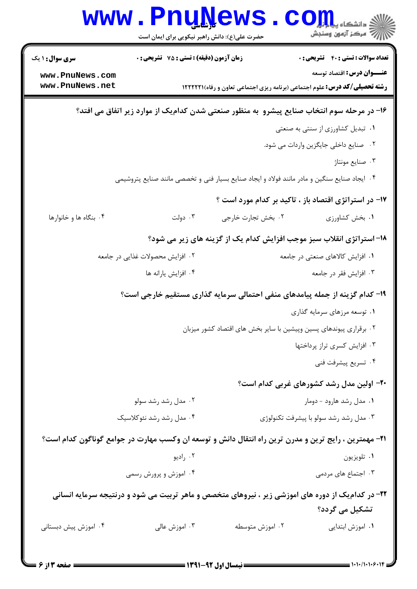|                                    | حضرت علی(ع): دانش راهبر نیکویی برای ایمان است   |                                                                                                              |                                                                                                                        |
|------------------------------------|-------------------------------------------------|--------------------------------------------------------------------------------------------------------------|------------------------------------------------------------------------------------------------------------------------|
| <b>سری سوال : ۱ یک</b>             | زمان آزمون (دقیقه) : تستی : 75 ٪ تشریحی : 0     |                                                                                                              | <b>تعداد سوالات : تستی : 40 ٪ تشریحی : 0</b>                                                                           |
| www.PnuNews.com<br>www.PnuNews.net |                                                 |                                                                                                              | <b>عنـــوان درس:</b> اقتصاد توسعه<br><b>رشته تحصیلی/کد درس:</b> علوم اجتماعی (برنامه ریزی اجتماعی تعاون و رفاه)(۱۲۲۲۲۲ |
|                                    |                                                 |                                                                                                              |                                                                                                                        |
|                                    |                                                 |                                                                                                              | ۱۶– در مرحله سوم انتخاب صنایع پیشرو ً به منظور صنعتی شدن کدامیک از موارد زیر اتفاق می افتد؟                            |
|                                    |                                                 |                                                                                                              | ۰۱ تبدیل کشاورزی از سنتی به صنعتی                                                                                      |
|                                    |                                                 |                                                                                                              | ۰۲ صنایع داخلی جایگزین واردات می شود.<br>۰۳ صنايع مونتاژ                                                               |
|                                    |                                                 | ۰۴ ایجاد صنایع سنگین و مادر مانند فولاد و ایجاد صنایع بسیار فنی و تخصصی مانند صنایع پتروشیمی                 |                                                                                                                        |
|                                    |                                                 |                                                                                                              |                                                                                                                        |
|                                    |                                                 |                                                                                                              | ۱۷- در استراتژی اقتصاد باز ، تاکید بر کدام مورد است ؟                                                                  |
| ۰۴ بنگاه ها و خانوارها             | ۰۳ دولت                                         | ٢. بخش تجارت خارجي                                                                                           | ٠١. بخش كشاورزى                                                                                                        |
|                                    |                                                 |                                                                                                              | 1۸- استراتژی انقلاب سبز موجب افزایش کدام یک از گزینه های زیر می شود؟                                                   |
|                                    | ۰۲ افزایش محصولات غذایی در جامعه                |                                                                                                              | ۰۱ افزایش کالاهای صنعتی در جامعه                                                                                       |
|                                    | ۰۴ افزايش يارانه ها                             |                                                                                                              | ۰۳ افزایش فقر در جامعه                                                                                                 |
|                                    |                                                 | ۱۹- کدام گزینه از جمله پیامدهای منفی احتمالی سرمایه گذاری مستقیم خارجی است؟                                  |                                                                                                                        |
|                                    |                                                 |                                                                                                              | ۰۱ توسعه مرزهای سرمایه گذاری                                                                                           |
|                                    |                                                 | ۰۲ برقراری پیوندهای پسین وپیشین با سایر بخش های اقتصاد کشور میزبان                                           |                                                                                                                        |
|                                    |                                                 |                                                                                                              | ۰۳ افزایش کسری تراز پرداختها<br>۰۴ تسریع پیشرفت فنی                                                                    |
|                                    |                                                 |                                                                                                              |                                                                                                                        |
|                                    |                                                 |                                                                                                              | ۲۰- اولین مدل رشد کشورهای غربی کدام است؟                                                                               |
|                                    | ۰۲ مدل رشد رشد سولو<br>۰۴ مدل رشد رشد نئوكلاسيك |                                                                                                              | ۰۱ مدل رشد هارود - دومار<br>۰۳ مدل رشد رشد سولو با پیشرفت تکنولوژی                                                     |
|                                    |                                                 |                                                                                                              |                                                                                                                        |
|                                    |                                                 | <b>۳۱</b> - مهمترین ، رایج ترین و مدرن ترین راه انتقال دانش و توسعه ان وکسب مهارت در جوامع گوناگون کدام است؟ |                                                                                                                        |
|                                    | ۰۲ راديو<br>۰۴ اموزش و پرورش رسمی               |                                                                                                              | ۰۱ تلویزیون<br>۰۳ اجتماع های مردمی                                                                                     |
|                                    |                                                 |                                                                                                              |                                                                                                                        |
|                                    |                                                 |                                                                                                              | ۲۲- در کدام یک از دوره های اموزشی زیر ، نیروهای متخصص و ماهر تربیت می شود و درنتیجه سرمایه انسانی<br>تشکیل می گردد؟    |
| ۰۴ اموزش پیش دبستانی               | ۰۳ اموزش عالی                                   | ۰۲ اموزش متوسطه                                                                                              | ۰۱ اموزش ابتدایی                                                                                                       |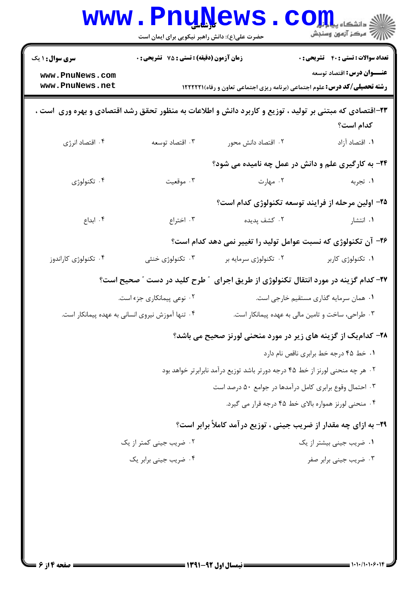|                                    | www.rnunews<br>حضرت علی(ع): دانش راهبر نیکویی برای ایمان است |                                                                               | د دانشکاه پي <mark>ا بار</mark> و<br>رآ مرڪز آزمون وسنڊش                                                                        |
|------------------------------------|--------------------------------------------------------------|-------------------------------------------------------------------------------|---------------------------------------------------------------------------------------------------------------------------------|
| <b>سری سوال : ۱ یک</b>             | زمان آزمون (دقیقه) : تستی : 75 گشریحی : 0                    |                                                                               | <b>تعداد سوالات : تستی : 40 قشریحی : 0</b>                                                                                      |
| www.PnuNews.com<br>www.PnuNews.net |                                                              |                                                                               | <b>عنـــوان درس:</b> اقتصاد توسعه<br><b>رشته تحصیلی/کد درس:</b> علوم اجتماعی (برنامه ریزی اجتماعی تعاون و رفاه) <b>۱۲۲۲۲۱</b> ۱ |
|                                    |                                                              |                                                                               | ۲۳–اقتصادی که مبتنی بر تولید ، توزیع و کاربرد دانش و اطلاعات به منظور تحقق رشد اقتصادی و بهره وری  است ،<br>كدام است؟           |
| ۰۴ اقتصاد انرژی                    | ۰۳ اقتصاد توسعه                                              | ۰۲ اقتصاد دانش محور                                                           | ۰۱ اقتصاد آزاد                                                                                                                  |
|                                    |                                                              |                                                                               | ۲۴- به کارگیری علم و دانش در عمل چه نامیده می شود؟                                                                              |
| ۰۴ تکنولوژی                        | ۰۳ موقعیت                                                    | ۰۲ مهارت                                                                      | ۰۱ تجربه                                                                                                                        |
|                                    |                                                              |                                                                               | ۲۵– اولین مرحله از فرایند توسعه تکنولوژی کدام است؟                                                                              |
| ۰۴ ابداع                           | ۰۳ اختراع                                                    | ۰۲ کشف پدیده                                                                  | ۰۱ انتشار                                                                                                                       |
|                                    |                                                              |                                                                               | ۲۶- آن تکنولوژی که نسبت عوامل تولید را تغییر نمی دهد کدام است؟                                                                  |
| ۰۴ تکنولوژی کاراندوز               | ۰۳ تکنولوژی خنثی                                             | ۰۲ تکنولوژی سرمایه بر                                                         | ٠١ تكنولوژى كاربر                                                                                                               |
|                                    | طرح کلید در دست " صحیح است؟                                  |                                                                               | ۲۷- کدام گزینه در مورد انتقال تکنولوژی از طریق اجرای                                                                            |
|                                    | ۰۲ نوعی پیمانکاری جزء است.                                   |                                                                               | ۰۱ همان سرمایه گذاری مستقیم خارجی است.                                                                                          |
|                                    | ۰۴ تنها آموزش نیروی انسانی به عهده پیمانکار است.             |                                                                               | ۰۳ طراحی، ساخت و تامین مالی به عهده پیمانکار است.                                                                               |
|                                    |                                                              |                                                                               | ۲۸- کدام یک از گزینه های زیر در مورد منحنی لورنز صحیح می باشد؟                                                                  |
|                                    |                                                              |                                                                               | ٠١. خط ۴۵ درجه خط برابري ناقص نام دارد                                                                                          |
|                                    |                                                              | ۰۲ هر چه منحنی لورنز از خط ۴۵ درجه دورتر باشد توزیع درآمد نابرابرتر خواهد بود |                                                                                                                                 |
|                                    |                                                              | ۰۳ احتمال وقوع برابری کامل درآمدها در جوامع ۵۰ درصد است                       |                                                                                                                                 |
|                                    |                                                              |                                                                               | ۰۴ منحنی لورنز همواره بالای خط ۴۵ درجه قرار می گیرد.                                                                            |
|                                    |                                                              |                                                                               | ۲۹- به ازای چه مقدار از ضریب جینی ، توزیع درآمد کاملاً برابر است؟                                                               |
|                                    | ۰۲ ضریب جینی کمتر از یک                                      |                                                                               | ۰۱ ضریب جینی بیشتر از یک                                                                                                        |
|                                    | ۰۴ ضریب جینی برابر یک                                        |                                                                               | ۰۳ ضریب جینی برابر صفر                                                                                                          |
|                                    |                                                              |                                                                               |                                                                                                                                 |
|                                    |                                                              |                                                                               |                                                                                                                                 |
|                                    |                                                              |                                                                               |                                                                                                                                 |
|                                    |                                                              |                                                                               |                                                                                                                                 |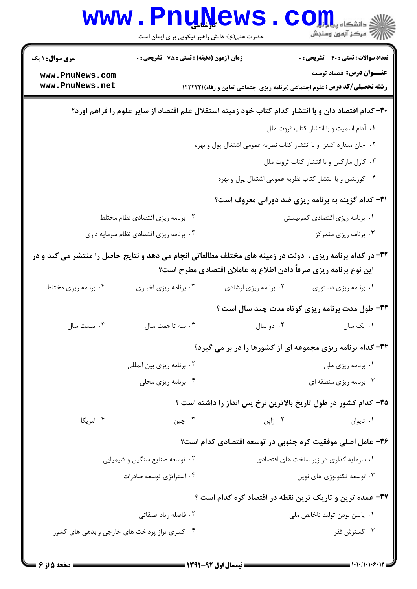| <b>تعداد سوالات : تستی : 40 - تشریحی : 0</b><br>زمان آزمون (دقیقه) : تستی : 75 ٪ تشریحی : 0<br><b>سری سوال : ۱ یک</b><br><b>عنـــوان درس:</b> اقتصاد توسعه<br>www.PnuNews.com<br>www.PnuNews.net<br><b>رشته تحصیلی/کد درس:</b> علوم اجتماعی (برنامه ریزی اجتماعی تعاون و رفاه) <b>۱۲۲۲۲۱</b> ۱<br>۳۰– کدام اقتصاد دان و با انتشار کدام کتاب خود زمینه استقلال علم اقتصاد از سایر علوم را فراهم اورد؟<br>٠١ آدام اسميت وبا انتشار كتاب ثروت ملل<br>۰۲ جان مینارد کینز و با انتشار کتاب نظریه عمومی اشتغال پول و بهره<br>۰۳ کارل مارکس و با انتشار کتاب ثروت ملل<br>۰۴ کوزنتس و با انتشار کتاب نظریه عمومی اشتغال پول و بهره<br><b>۳۱</b> - کدام گزینه به برنامه ریزی ضد دورانی معروف است؟<br>۰۱ برنامه ریزی اقتصادی کمونیستی<br>۰۲ برنامه ریزی اقتصادی نظام مختلط<br>۰۳ برنامه ریزی متمرکز<br>۰۴ برنامه ریزی اقتصادی نظام سرمایه داری<br>33- در کدام برنامه ریزی ،  دولت در زمینه های مختلف مطالعاتی انجام می دهد و نتایج حاصل را منتشر می کند و در<br>این نوع برنامه ریزی صرفاً دادن اطلاع به عاملان اقتصادی مطرح است؟<br>۰۴ برنامه ریزی مختلط<br>۰۳ برنامه ریزی اخباری<br>۰۲ برنامه ریزی ارشادی<br>٠١. برنامه ريزي دستوري<br>۳۳- طول مدت برنامه ریزی کوتاه مدت چند سال است ؟<br>۰۳ سه تا هفت سال $\cdot$ ۴ . بیست سال $\cdot$<br>۰۱ یک سال مسلم است. ۲۰ دو سال ۱۰ |
|--------------------------------------------------------------------------------------------------------------------------------------------------------------------------------------------------------------------------------------------------------------------------------------------------------------------------------------------------------------------------------------------------------------------------------------------------------------------------------------------------------------------------------------------------------------------------------------------------------------------------------------------------------------------------------------------------------------------------------------------------------------------------------------------------------------------------------------------------------------------------------------------------------------------------------------------------------------------------------------------------------------------------------------------------------------------------------------------------------------------------------------------------------------------------------------------------------------------------------------------------------------------|
|                                                                                                                                                                                                                                                                                                                                                                                                                                                                                                                                                                                                                                                                                                                                                                                                                                                                                                                                                                                                                                                                                                                                                                                                                                                                    |
|                                                                                                                                                                                                                                                                                                                                                                                                                                                                                                                                                                                                                                                                                                                                                                                                                                                                                                                                                                                                                                                                                                                                                                                                                                                                    |
|                                                                                                                                                                                                                                                                                                                                                                                                                                                                                                                                                                                                                                                                                                                                                                                                                                                                                                                                                                                                                                                                                                                                                                                                                                                                    |
|                                                                                                                                                                                                                                                                                                                                                                                                                                                                                                                                                                                                                                                                                                                                                                                                                                                                                                                                                                                                                                                                                                                                                                                                                                                                    |
|                                                                                                                                                                                                                                                                                                                                                                                                                                                                                                                                                                                                                                                                                                                                                                                                                                                                                                                                                                                                                                                                                                                                                                                                                                                                    |
|                                                                                                                                                                                                                                                                                                                                                                                                                                                                                                                                                                                                                                                                                                                                                                                                                                                                                                                                                                                                                                                                                                                                                                                                                                                                    |
|                                                                                                                                                                                                                                                                                                                                                                                                                                                                                                                                                                                                                                                                                                                                                                                                                                                                                                                                                                                                                                                                                                                                                                                                                                                                    |
|                                                                                                                                                                                                                                                                                                                                                                                                                                                                                                                                                                                                                                                                                                                                                                                                                                                                                                                                                                                                                                                                                                                                                                                                                                                                    |
|                                                                                                                                                                                                                                                                                                                                                                                                                                                                                                                                                                                                                                                                                                                                                                                                                                                                                                                                                                                                                                                                                                                                                                                                                                                                    |
|                                                                                                                                                                                                                                                                                                                                                                                                                                                                                                                                                                                                                                                                                                                                                                                                                                                                                                                                                                                                                                                                                                                                                                                                                                                                    |
|                                                                                                                                                                                                                                                                                                                                                                                                                                                                                                                                                                                                                                                                                                                                                                                                                                                                                                                                                                                                                                                                                                                                                                                                                                                                    |
|                                                                                                                                                                                                                                                                                                                                                                                                                                                                                                                                                                                                                                                                                                                                                                                                                                                                                                                                                                                                                                                                                                                                                                                                                                                                    |
|                                                                                                                                                                                                                                                                                                                                                                                                                                                                                                                                                                                                                                                                                                                                                                                                                                                                                                                                                                                                                                                                                                                                                                                                                                                                    |
|                                                                                                                                                                                                                                                                                                                                                                                                                                                                                                                                                                                                                                                                                                                                                                                                                                                                                                                                                                                                                                                                                                                                                                                                                                                                    |
|                                                                                                                                                                                                                                                                                                                                                                                                                                                                                                                                                                                                                                                                                                                                                                                                                                                                                                                                                                                                                                                                                                                                                                                                                                                                    |
| ۳۴- کدام برنامه ریزی مجموعه ای از کشورها را در بر می گیرد؟                                                                                                                                                                                                                                                                                                                                                                                                                                                                                                                                                                                                                                                                                                                                                                                                                                                                                                                                                                                                                                                                                                                                                                                                         |
| ۰۲ برنامه ریزی بین المللی<br>۰۱ برنامه ریزی ملی                                                                                                                                                                                                                                                                                                                                                                                                                                                                                                                                                                                                                                                                                                                                                                                                                                                                                                                                                                                                                                                                                                                                                                                                                    |
| ۰۴ برنامه ریزی محلی<br>۰۳ برنامه ریزی منطقه ای                                                                                                                                                                                                                                                                                                                                                                                                                                                                                                                                                                                                                                                                                                                                                                                                                                                                                                                                                                                                                                                                                                                                                                                                                     |
| ۳۵- کدام کشور در طول تاریخ بالاترین نرخ پس انداز را داشته است ؟                                                                                                                                                                                                                                                                                                                                                                                                                                                                                                                                                                                                                                                                                                                                                                                                                                                                                                                                                                                                                                                                                                                                                                                                    |
| ۰۳ چين<br>۰۴ امریکا<br>۰۲ ژاپن<br>۰۱ تايوان                                                                                                                                                                                                                                                                                                                                                                                                                                                                                                                                                                                                                                                                                                                                                                                                                                                                                                                                                                                                                                                                                                                                                                                                                        |
| ۳۶- عامل اصلی موفقیت کره جنوبی در توسعه اقتصادی کدام است؟                                                                                                                                                                                                                                                                                                                                                                                                                                                                                                                                                                                                                                                                                                                                                                                                                                                                                                                                                                                                                                                                                                                                                                                                          |
| ۰۱ سرمایه گذاری در زیر ساخت های اقتصادی<br>۰۲ توسعه صنایع سنگین و شیمیایی                                                                                                                                                                                                                                                                                                                                                                                                                                                                                                                                                                                                                                                                                                                                                                                                                                                                                                                                                                                                                                                                                                                                                                                          |
| ۰۴ استراتژی توسعه صادرات<br>۰۳ توسعه تکنولوژی های نوین                                                                                                                                                                                                                                                                                                                                                                                                                                                                                                                                                                                                                                                                                                                                                                                                                                                                                                                                                                                                                                                                                                                                                                                                             |
| ۳۷- عمده ترین و تاریک ترین نقطه در اقتصاد کره کدام است ؟                                                                                                                                                                                                                                                                                                                                                                                                                                                                                                                                                                                                                                                                                                                                                                                                                                                                                                                                                                                                                                                                                                                                                                                                           |
| ۰۲ فاصله زیاد طبقاتی<br>۰۱ پايين بودن توليد ناخالص ملي                                                                                                                                                                                                                                                                                                                                                                                                                                                                                                                                                                                                                                                                                                                                                                                                                                                                                                                                                                                                                                                                                                                                                                                                             |
| ۰۳ گسترش فقر<br>۰۴ کسری تراز پرداخت های خارجی و بدهی های کشور                                                                                                                                                                                                                                                                                                                                                                                                                                                                                                                                                                                                                                                                                                                                                                                                                                                                                                                                                                                                                                                                                                                                                                                                      |